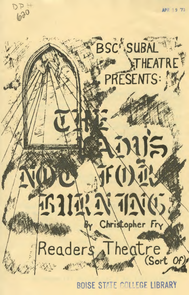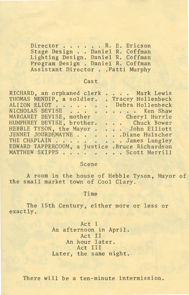Director . . . . . R. E. Ericson<br>Stage Design . . Daniel R. Coffman Director . . . . . R. E. Ericson<br>Stage Design . . Daniel R. Coffman<br>Lichting Design . Daniel B. Coffman Lighting Design. Daniel R. Coffman Program Design . Daniel R. Coffman Assistant Director .. Patti Murphy

### **Cast**

| <b>Cast</b>                                                                                                                                                                                                                                                                                                                                                                                |                                                 |
|--------------------------------------------------------------------------------------------------------------------------------------------------------------------------------------------------------------------------------------------------------------------------------------------------------------------------------------------------------------------------------------------|-------------------------------------------------|
| RICHARD, an orphaned clerk<br>THOMAS MENDIP, a soldier.<br>ALIZON ELIOT Debra Hollenbeck<br>NICHOLAS DEVISE<br>MARGARET DEVISE, mother Cheryl Hurrle<br>HUMPHREY DEVISE, brother. Chuck Bower<br>HEBBLE TYSON, the Mayor John Elliott<br>JENNET JOURDEMAYNE Diane Hulscher<br>THE CHAPLAIN James Langley<br>EDWARD TAPPERCOOM, a justice .Bruce Richardson<br>MATTHEW SKIPPS Scott Merrill | Mark Lewis<br>. Tracey Hollenbeck<br>. Ken Shaw |
|                                                                                                                                                                                                                                                                                                                                                                                            |                                                 |

#### Scene

A room in the house of Hebble Tyson, Mayor of the small market town of Cool Clary.

#### Time

The 15th Century, either more or less or exactly.

> Act I An afternoon in April. Act II An hour later. Act III Later, the same night.

There will be a ten-minute intermission.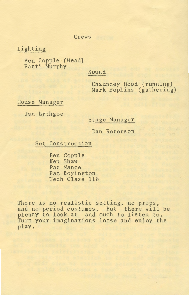#### Crews

Lighting

Ben Copple (Head) Patti Murphy

# Sound

Chauncey Hood (running) Mark Hopkins (gathering)

House Manager

Jan Lythgoe

## Stage Manager

Dan Peterson

Set Construction

Ben Copple Ken Shaw Pat Nance Pat Boyington Tech Class 118

There is no realistic setting, no props, and no period costumes. But there will be plenty to look at and much to listen to. Turn your imaginations loose and enjoy the play.